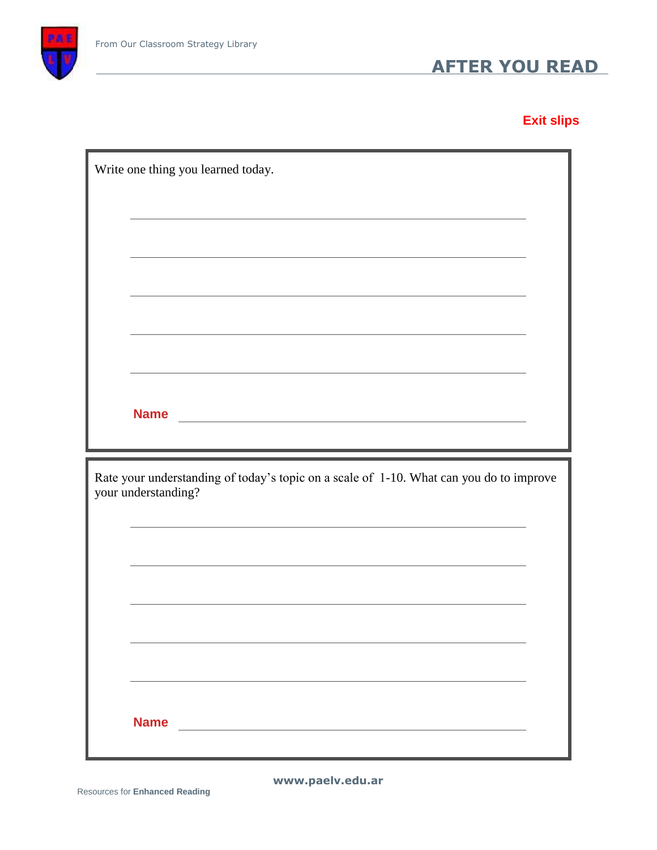

**Exit slips**

| Write one thing you learned today.                                                                                                                                                                                            |  |
|-------------------------------------------------------------------------------------------------------------------------------------------------------------------------------------------------------------------------------|--|
|                                                                                                                                                                                                                               |  |
| the control of the control of the control of the control of the control of the control of the control of the control of the control of the control of the control of the control of the control of the control of the control |  |
|                                                                                                                                                                                                                               |  |
|                                                                                                                                                                                                                               |  |
|                                                                                                                                                                                                                               |  |
|                                                                                                                                                                                                                               |  |
|                                                                                                                                                                                                                               |  |
|                                                                                                                                                                                                                               |  |
| Rate your understanding of today's topic on a scale of 1-10. What can you do to improve<br>your understanding?                                                                                                                |  |
|                                                                                                                                                                                                                               |  |
|                                                                                                                                                                                                                               |  |
|                                                                                                                                                                                                                               |  |
|                                                                                                                                                                                                                               |  |
|                                                                                                                                                                                                                               |  |
| <b>Name</b>                                                                                                                                                                                                                   |  |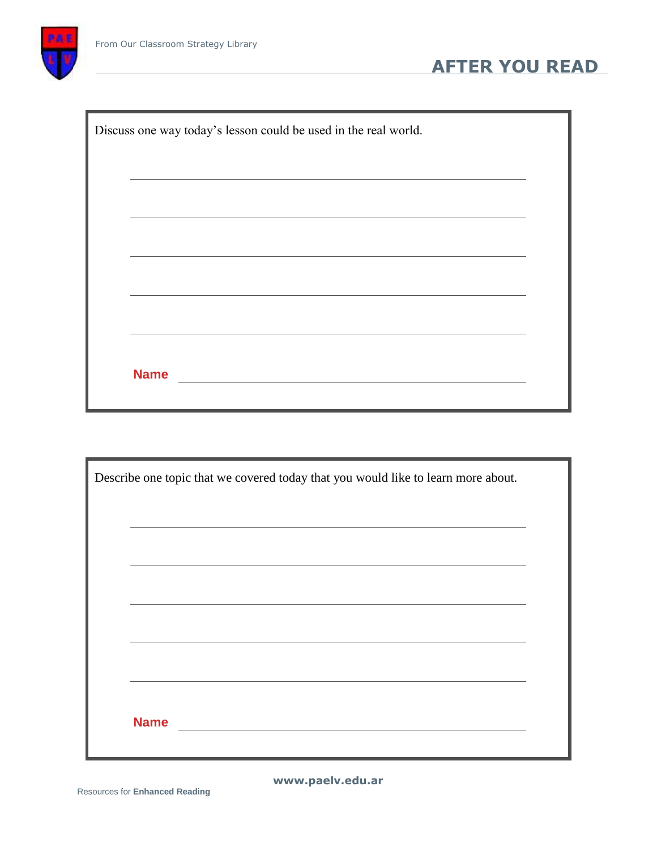

|             | Discuss one way today's lesson could be used in the real world. |  |  |  |
|-------------|-----------------------------------------------------------------|--|--|--|
|             |                                                                 |  |  |  |
|             |                                                                 |  |  |  |
|             |                                                                 |  |  |  |
|             |                                                                 |  |  |  |
|             |                                                                 |  |  |  |
|             |                                                                 |  |  |  |
| <b>Name</b> |                                                                 |  |  |  |

**AFTER YOU READ**

| Describe one topic that we covered today that you would like to learn more about. |  |
|-----------------------------------------------------------------------------------|--|
|                                                                                   |  |
|                                                                                   |  |
|                                                                                   |  |
|                                                                                   |  |
|                                                                                   |  |
|                                                                                   |  |
| <b>Name</b>                                                                       |  |
|                                                                                   |  |

**www.paelv.edu.ar**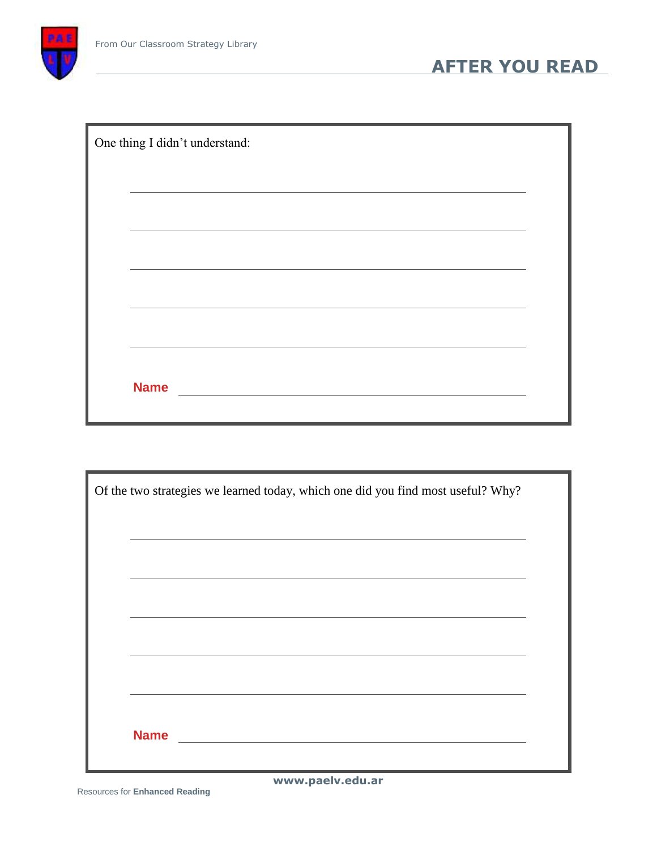

| One thing I didn't understand: |
|--------------------------------|
|                                |
|                                |
|                                |
|                                |
|                                |
|                                |
| <b>Name</b>                    |
|                                |

|             | Of the two strategies we learned today, which one did you find most useful? Why? |  |
|-------------|----------------------------------------------------------------------------------|--|
|             |                                                                                  |  |
|             |                                                                                  |  |
|             |                                                                                  |  |
|             |                                                                                  |  |
|             |                                                                                  |  |
|             |                                                                                  |  |
| <b>Name</b> |                                                                                  |  |
|             |                                                                                  |  |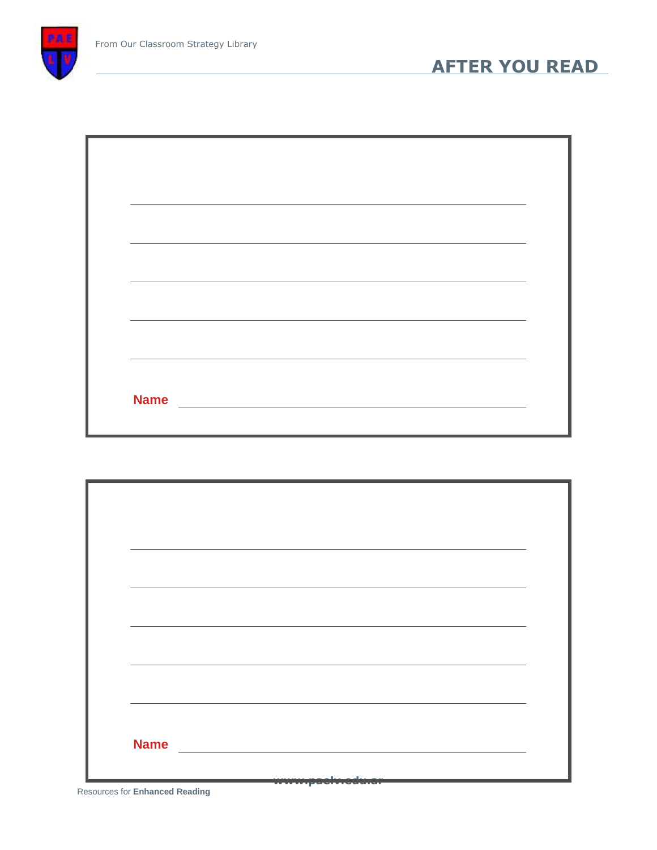

| <b>Name</b> |  |  |
|-------------|--|--|
|             |  |  |

| <b>Name</b> |  |  |
|-------------|--|--|
|             |  |  |

Resources for **Enhanced Reading**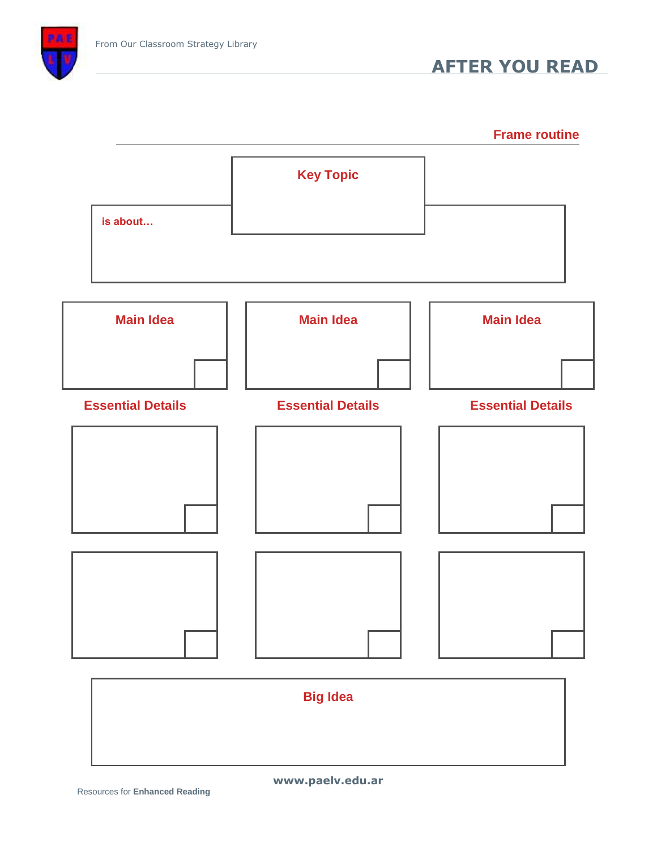

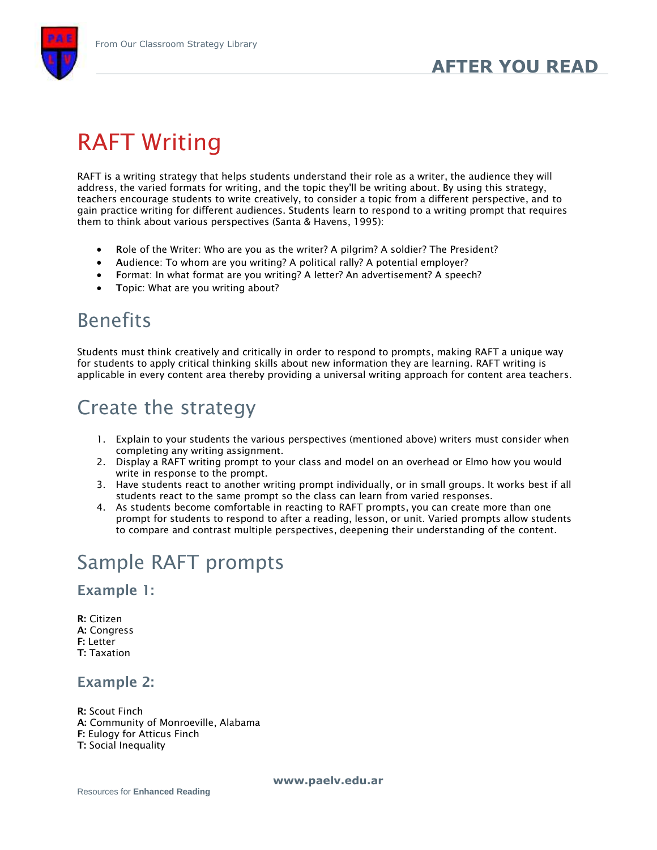

# RAFT Writing

RAFT is a writing strategy that helps students understand their role as a writer, the audience they will address, the varied formats for writing, and the topic they'll be writing about. By using this strategy, teachers encourage students to write creatively, to consider a topic from a different perspective, and to gain practice writing for different audiences. Students learn to respond to a writing prompt that requires them to think about various perspectives (Santa & Havens, 1995):

- **R**ole of the Writer: Who are you as the writer? A pilgrim? A soldier? The President?
- **A**udience: To whom are you writing? A political rally? A potential employer?
- **F**ormat: In what format are you writing? A letter? An advertisement? A speech?
- **•** Topic: What are you writing about?

## Benefits

Students must think creatively and critically in order to respond to prompts, making RAFT a unique way for students to apply critical thinking skills about new information they are learning. RAFT writing is applicable in every content area thereby providing a universal writing approach for content area teachers.

### Create the strategy

- 1. Explain to your students the various perspectives (mentioned above) writers must consider when completing any writing assignment.
- 2. Display a RAFT writing prompt to your class and model on an overhead or Elmo how you would write in response to the prompt.
- 3. Have students react to another writing prompt individually, or in small groups. It works best if all students react to the same prompt so the class can learn from varied responses.
- 4. As students become comfortable in reacting to RAFT prompts, you can create more than one prompt for students to respond to after a reading, lesson, or unit. Varied prompts allow students to compare and contrast multiple perspectives, deepening their understanding of the content.

## Sample RAFT prompts

#### **Example 1:**

**R:** Citizen **A:** Congress **F:** Letter **T:** Taxation

#### **Example 2:**

**R:** Scout Finch

- **A:** Community of Monroeville, Alabama
- **F:** Eulogy for Atticus Finch
- **T:** Social Inequality